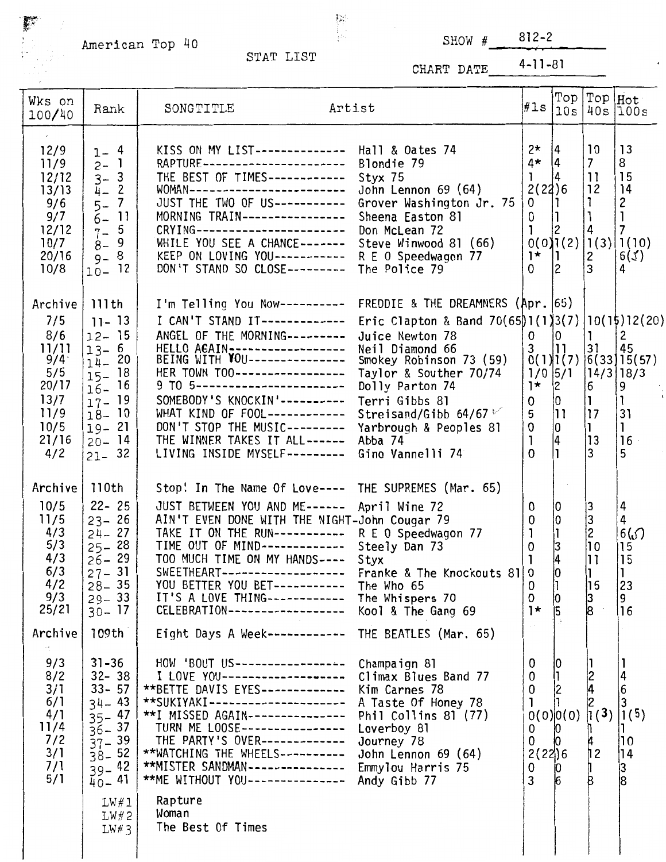American Top  $\frac{1}{4}$  STAT LIST SHOW # 812-2

 $\mathbb{R}^{\mathbb{Z}}$ 

 $\begin{array}{c} 1 \\ 1 \\ 1 \\ 0 \end{array}$ 

CHART DATE 4-11-81

| Wks on<br>100/40                                                                              | Rank                                                                                                                                                                | SONGTITLE                                                                                                                                                                                                                                                                                                                                                                                                                                          | Artist                                                                                                                                                                                                                                                                                                    |                                                                                 |                                                                               |                                                                                        | $\ f\ $ = $\left \begin{matrix} \text{Top} \\ \text{10s} \end{matrix}\right $ $\left \begin{matrix} \text{Top} \\ \text{40s} \end{matrix}\right $ $\left \begin{matrix} \text{Hot} \\ \text{100s} \end{matrix}\right $ |
|-----------------------------------------------------------------------------------------------|---------------------------------------------------------------------------------------------------------------------------------------------------------------------|----------------------------------------------------------------------------------------------------------------------------------------------------------------------------------------------------------------------------------------------------------------------------------------------------------------------------------------------------------------------------------------------------------------------------------------------------|-----------------------------------------------------------------------------------------------------------------------------------------------------------------------------------------------------------------------------------------------------------------------------------------------------------|---------------------------------------------------------------------------------|-------------------------------------------------------------------------------|----------------------------------------------------------------------------------------|------------------------------------------------------------------------------------------------------------------------------------------------------------------------------------------------------------------------|
| 12/9<br>11/9<br>12/12<br>13/13<br>9/6<br>9/7<br>12/12<br>10/7<br>20/16<br>10/8                | $1 - 4$<br>$2 - 1$<br>$3 - 3$<br>$\mathbf{2}$<br>$\bar{4}$ –<br>$\overline{7}$<br>$5-$<br>$\overline{11}$<br>$6-$<br>$7 - 5$<br>9<br>$8-$<br>$9 - 8$<br>12<br>$10-$ | KISS ON MY LIST-------------- Hall & Oates 74<br>RAPTURE-----------------------<br>THE BEST OF TIMES------------<br>WOMAN-------------------------<br>JUST THE TWO OF US-----------<br>MORNING TRAIN----------------<br>CRYING------------------------<br>WHILE YOU SEE A CHANCE-------<br>KEEP ON LOVING YOU-----------<br>DON'T STAND SO CLOSE---------                                                                                          | Blondie 79<br>Styx 75<br>John Lennon 69 (64)<br>Grover Washington Jr. 75<br>Sheena Easton 81<br>Don McLean 72<br>Steve Winwood 81 (66)<br>R E O Speedwagon 77<br>The Police 79                                                                                                                            | $2^{\star}$<br>$4\star$<br>ı<br>2(22)6<br>0<br>0<br>1<br>$1*$  1<br>$\mathbf 0$ | 4<br> 4<br>14<br> 2                                                           | 10<br>7 <sup>7</sup><br>$\mathbf{1}$<br>12<br>ı<br>$\mathbf{1}$<br>2<br>$\overline{3}$ | 13<br>8<br>15<br>14<br>2<br>$\vert$ 1<br>$\overline{7}$<br>0(0)[1(2)[1(3)][1(10)]<br>6(3)<br>4                                                                                                                         |
| Archive<br>7/5<br>8/6<br>11/11<br>9/4<br>5/5<br>20/17<br>13/7<br>11/9<br>10/5<br>21/16<br>4/2 | 111th<br>$11 - 13$<br>$12 - 15$<br>$13 - 6$<br>$14 - 20$<br>18<br>$15 -$<br>16<br>$16 -$<br>19<br>$17 -$<br>$18 - 10$<br>$19 - 21$<br>$20 - 14$<br>$21 - 32$        | I'm Telling You Now----------<br>I CAN'T STAND IT-------------<br>ANGEL OF THE MORNING---------<br>HELLO AGAIN------------------<br>BEING WITH VOU---------------<br>HER TOWN TOO-----------------<br>9 TO 5-------------------------<br>SOMEBODY'S KNOCKIN'----------<br>WHAT KIND OF FOOL------------<br>DON'T STOP THE MUSIC---------<br>THE WINNER TAKES IT ALL------<br>LIVING INSIDE MYSELF---------                                         | FREDDIE & THE DREAMNERS (Apr. [65)<br>Eric Clapton & Band 70(65)1(1)3(7)  10(15)12(20)<br>Juice Newton 78<br>Neil Diamond 66<br>Smokey Robinson 73 (59)<br>Taylor & Souther 70/74<br>Dolly Parton 74<br>Terri Gibbs 81<br>Streisand/Gibb $64/67$<br>Yarbrough & Peoples 81<br>Abba 74<br>Gino Vannelli 74 | 0<br>3<br>$1/0$ 5/1<br>$1*$<br>0<br>5<br>0<br>$\mathbf{1}$<br>$\Omega$          | 10<br>$0(1)$ [(7)<br>$\begin{bmatrix} 2 \\ 0 \end{bmatrix}$<br> 11<br>10<br>4 | $\vert$ 1<br>31<br>6<br>I1<br> 17<br>13<br>3                                           | 2<br>45<br>(6(33)15(57))<br> 14/3 18/3 <br>9<br>31<br>$\mathbf{1}$<br>16<br>5                                                                                                                                          |
| Archive<br>10/5<br>11/5<br>4/3<br>5/3<br>4/3<br>6/3<br>4/2<br>9/3<br>25/21<br>Archive         | 110th<br>$22 - 25$<br>$23 - 26$<br>$24 - 27$<br>$25 - 28$<br>$26 - 29$<br>$27 - 31$<br>$28 - 35$<br>$29 - 33$<br>$30 - 17$<br>109th                                 | Stop! In The Name Of Love---- THE SUPREMES (Mar. 65)<br>JUST BETWEEN YOU AND ME------ April Wine 72<br>AIN'T EVEN DONE WITH THE NIGHT-John Cougar 79<br>TAKE IT ON THE RUN----------- R E O Speedwagon 77<br>TIME OUT OF MIND-------------<br>TOO MUCH TIME ON MY HANDS----<br>SWEETHEART-------------------<br>YOU BETTER YOU BET -----------<br>IT'S A LOVE THING------------<br>CELEBRATION-------------------<br>Eight Days A Week------------ | Steely Dan 73<br>Styx<br>Franke & The Knockouts 81 0<br>The Who 65<br>The Whispers 70<br>Kool & The Gang 69<br>THE BEATLES (Mar. 65)                                                                                                                                                                      | 0<br>0<br>1<br>0<br>1<br>0<br>0<br>$1*$                                         | 10<br>l1<br>3<br>4<br>$ 0\rangle$<br>10<br>5                                  | 3<br>3<br>2<br>10<br>ו ו<br>П.<br>15<br>$\frac{3}{8}$                                  | 4<br>4<br>6()<br>15<br>15<br>23<br>9<br>16                                                                                                                                                                             |
| 9/3<br>8/2<br>3/1<br>6/1<br>4/1<br>11/4<br>7/2<br>3/1<br>7/1<br>5/1                           | $31 - 36$<br>$32 - 38$<br>$33 - 57$<br>$34 - 43$<br>$35 - 47$<br>$36 - 37$<br>$37 - 39$<br>$38 - 52$<br>$39 - 42$<br>$40 - 41$                                      | HOW 'BOUT US------------------<br>I LOVE YOU --------------------<br>**BETTE DAVIS EYES-------------<br>**SUKIYAKI---------------------<br>**I MISSED AGAIN---------------<br>TURN ME LOOSE----------------<br>THE PARTY'S OVER-------------<br>**WATCHING THE WHEELS----------<br>**MISTER SANDMAN---------------<br>**ME WITHOUT YOU---------------                                                                                              | Champaign 81<br>Climax Blues Band 77<br>Kim Carnes 78<br>A Taste Of Honey 78<br>Phil Collins 81 (77)<br>Loverboy 81<br>Journey 78<br>John Lennon 69 (64)<br>Emmylou Harris 75<br>Andy Gibb 77                                                                                                             | 0<br>0<br>$\mathbf 0$<br>0<br>0<br>2(22)6<br>0<br>3                             | 0(0) 0(0)<br>0<br>$\frac{1}{6}$                                               | 2<br> 4<br> 1(3) <br>12                                                                | 4<br>$\overline{6}$<br>3<br>1(5)<br>10<br>14<br>$\frac{3}{8}$                                                                                                                                                          |
|                                                                                               | LW#1<br>LW#2<br>$LWE$ 3                                                                                                                                             | Rapture<br>Woman<br>The Best Of Times                                                                                                                                                                                                                                                                                                                                                                                                              |                                                                                                                                                                                                                                                                                                           |                                                                                 |                                                                               |                                                                                        |                                                                                                                                                                                                                        |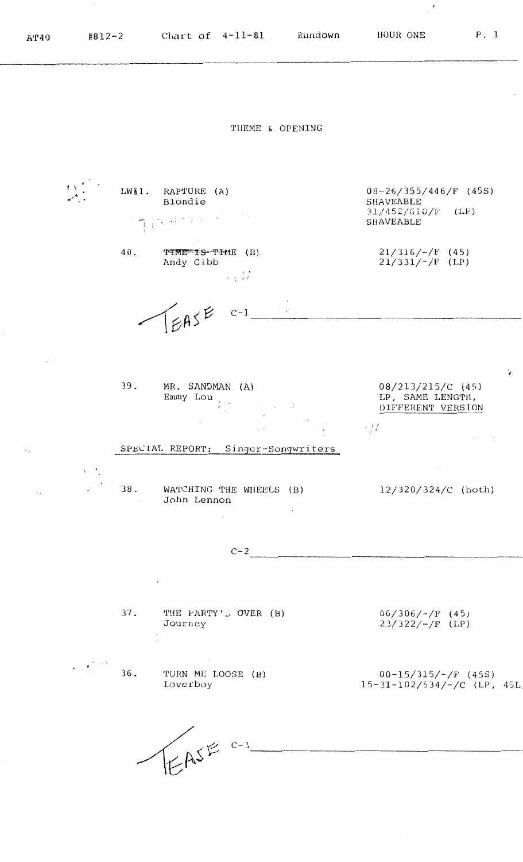$\hat{\mathbf{z}}$ 

THEME & OPENING I , ' ' ,,< **,4' ••** . 08-26/355/446/F (45S) LW#1. RAPTURE (A) Blondie SHAVEABLE **31,/ '152** *<sup>1</sup> <sup>1</sup>***G l O /F** (LP) 11997205 SHAVEABLE 21/316/-/F ( **4** 5) 40. 'l'---Iitm~ **·YS"•"f'cM-1E** (B)  $21/331/-/F$  (LP) Andy Gibb الملاومة EASE  $C-1$  $\mathcal{A}$ 39. MR. SANDMAN (A) 08/213/215/C (45) Emmy Lou LP, SAME LENGTH,  $\mathcal{L}_{\text{cusp}}(A)$  . DIFFERENT VERSION ; *l*  . ' SPEClAL REPORT: Singer-Songwriters  $\ddot{\phantom{0}}$  . 38. WATCHING THE WHEELS  $(B)$  12/320/324/C (both)  $\mathcal{L}^{\mathcal{A}}$ John Lennon  $C-2$ THE PARTY'S OVER (B) 06/306/-/F (45) 37. 23/322/-/F (LP) Journey  $\mathbf{v} \in \mathcal{C}$ 36. TURN ME LOOSE (B) 00-15/315/-/F (45S) Loverboy 15-31-102/534/-/C (LP, 45L) EASE C-3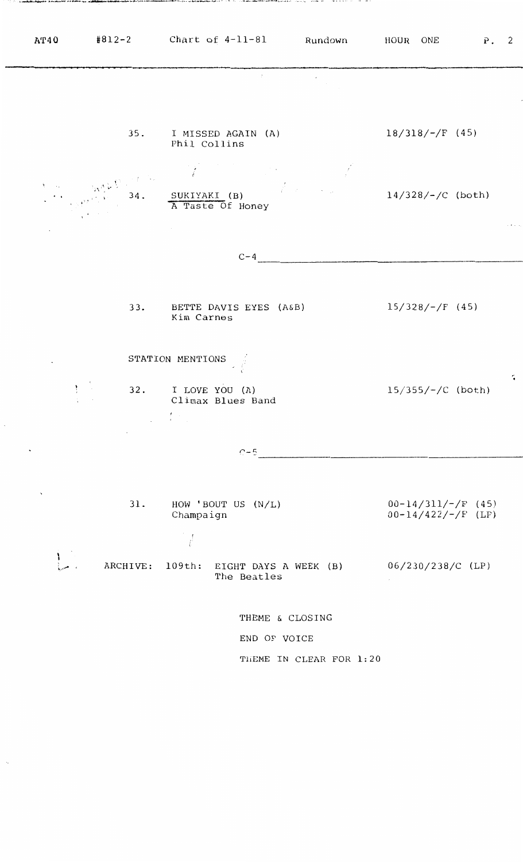| A T 40                    | $\texttt{\#812-2}$ Chart of 4-11-81 Rundown HOUR ONE                                                                                                                                                                                                                                                                                                                                                                                                                                  |                                                                               |                       |                                     |                   | P. 2                                         |   |
|---------------------------|---------------------------------------------------------------------------------------------------------------------------------------------------------------------------------------------------------------------------------------------------------------------------------------------------------------------------------------------------------------------------------------------------------------------------------------------------------------------------------------|-------------------------------------------------------------------------------|-----------------------|-------------------------------------|-------------------|----------------------------------------------|---|
|                           |                                                                                                                                                                                                                                                                                                                                                                                                                                                                                       |                                                                               | $\mathcal{P}$         |                                     |                   |                                              |   |
|                           |                                                                                                                                                                                                                                                                                                                                                                                                                                                                                       | 35. I MISSED AGAIN (A)<br>Phil Collins                                        |                       |                                     | $18/318/-/F$ (45) |                                              |   |
|                           | $\left(\frac{1}{2} \times \frac{1}{2} \times \frac{1}{2} \times \frac{1}{2} \times \frac{1}{2} \times \frac{1}{2} \times \frac{1}{2} \times \frac{1}{2} \times \frac{1}{2} \times \frac{1}{2} \times \frac{1}{2} \times \frac{1}{2} \times \frac{1}{2} \times \frac{1}{2} \times \frac{1}{2} \times \frac{1}{2} \times \frac{1}{2} \times \frac{1}{2} \times \frac{1}{2} \times \frac{1}{2} \times \frac{1}{2} \times \frac{1}{2} \times \frac{1}{2} \times \frac{1}{2} \times \frac$ | A Taste Of Honey                                                              |                       | $\frac{14}{328}/\frac{1}{2}$ (both) |                   |                                              |   |
|                           |                                                                                                                                                                                                                                                                                                                                                                                                                                                                                       | $\sim$                                                                        |                       |                                     |                   |                                              |   |
|                           |                                                                                                                                                                                                                                                                                                                                                                                                                                                                                       |                                                                               | $C-4$                 |                                     |                   |                                              |   |
|                           |                                                                                                                                                                                                                                                                                                                                                                                                                                                                                       | 33. BETTE DAVIS EYES (A&B)<br>Kim Carnes                                      |                       |                                     | $15/328/-/F$ (45) |                                              |   |
|                           |                                                                                                                                                                                                                                                                                                                                                                                                                                                                                       | STATION MENTIONS                                                              |                       |                                     |                   |                                              |   |
|                           |                                                                                                                                                                                                                                                                                                                                                                                                                                                                                       | 32. I LOVE YOU (A)<br>Climax Blues Band<br>$\mathcal{L} = \{L_{\text{max}}\}$ |                       |                                     |                   | $15/355/-/C$ (both)                          | ÷ |
|                           | and a state of                                                                                                                                                                                                                                                                                                                                                                                                                                                                        |                                                                               | $C - 5$               |                                     |                   |                                              |   |
|                           |                                                                                                                                                                                                                                                                                                                                                                                                                                                                                       |                                                                               |                       |                                     |                   |                                              |   |
| $\boldsymbol{\mathsf{s}}$ | 31.                                                                                                                                                                                                                                                                                                                                                                                                                                                                                   | HOW 'BOUT US $(N/L)$<br>Champaign                                             |                       |                                     |                   | $00-14/311/-/F$ (45)<br>$00-14/422/-/F$ (LP) |   |
|                           | ARCHIVE:                                                                                                                                                                                                                                                                                                                                                                                                                                                                              | 109th:                                                                        | EIGHT DAYS A WEEK (B) |                                     |                   | 06/230/238/C (LP)                            |   |
|                           |                                                                                                                                                                                                                                                                                                                                                                                                                                                                                       |                                                                               | The Beatles           |                                     |                   |                                              |   |
|                           |                                                                                                                                                                                                                                                                                                                                                                                                                                                                                       |                                                                               | THEME & CLOSING       |                                     |                   |                                              |   |
|                           |                                                                                                                                                                                                                                                                                                                                                                                                                                                                                       |                                                                               | END OF VOICE          |                                     |                   |                                              |   |
|                           |                                                                                                                                                                                                                                                                                                                                                                                                                                                                                       |                                                                               |                       | THEME IN CLEAR FOR 1:20             |                   |                                              |   |
|                           |                                                                                                                                                                                                                                                                                                                                                                                                                                                                                       |                                                                               |                       |                                     |                   |                                              |   |

www.communication.com

 $\mathcal{L}$  . We define a subset a series of the set of the second second second sets of the second second second sets of the second second second second second second second second second second second second second second

representation

وهه بل .

بالدرادية والشافات كالانتهاب والرازي المادي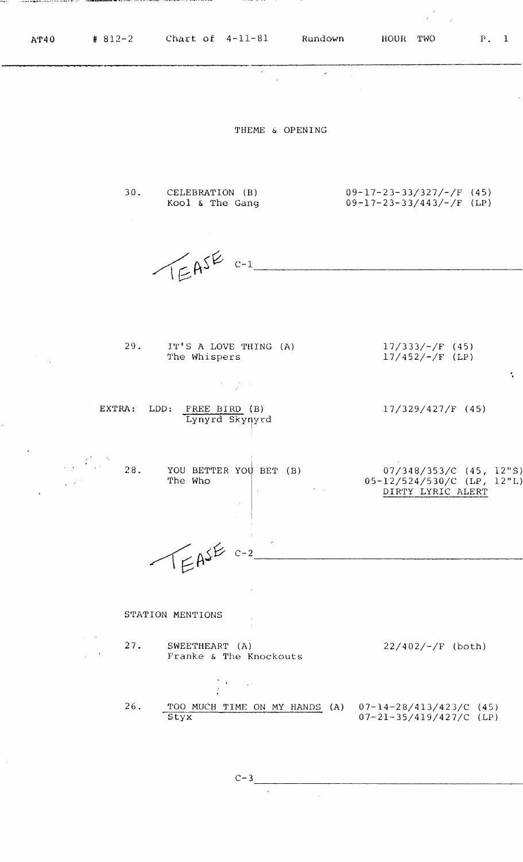$\mathcal{A}$ 

, .

THEME & OPENING

 $\hat{\mathcal{L}}$ 

30. CELEBRATION (B) Kool & The Gang

 $\sim$ 

 $\sim 10^{-1}$ 

09-17-23-33/327/-/F (45) 09-17-23-33/443/-/F (LP)

 $LEASE C-1$ 

| 29. | IT'S A LOVE THING (A)<br>The Whispers                                                                                                                                                                                      | $17/333/$ –/F (45)<br>$17/452/-/F$ (LP) |
|-----|----------------------------------------------------------------------------------------------------------------------------------------------------------------------------------------------------------------------------|-----------------------------------------|
|     | $\label{eq:2.1} \mathcal{L}(\mathcal{L}^{\mathcal{L}}(\mathcal{L}^{\mathcal{L}})) = \mathcal{L}(\mathcal{L}^{\mathcal{L}}(\mathcal{L}^{\mathcal{L}})) = \mathcal{L}(\mathcal{L}^{\mathcal{L}}(\mathcal{L}^{\mathcal{L}}))$ |                                         |
|     | $PVMNN$ , $PNN$ , $PNNN$ , $PNN$                                                                                                                                                                                           | 1.7120111271011171                      |

EXTRA: LDD: FREE BIRD (B) Lynyrd Skyryyrd ! 17/329/427/F (45)

28. YOU BETTER YOU BET (B) The Who 07/348/353/C (45, 12"S) 0 5-12/5 24/5 30/C (LP, 12 "L) DIRTY LYRIC ALERT

 $TERSE$   $c-2$ 

STATION MENTIONS

- 27. SWEETHEART (A)  $22/402/-/F$  (both) Franke & The Knockouts  $\sum_{i=1}^n \left\| \mathbf{A}_i \right\|_{\mathcal{H}^{s_1}} \leq \left\| \mathbf{A}_i \right\|_{\mathcal{H}^{s_2}}$ 26. TOO MUCH TIME ON MY HANDS (A) 07-14-28/413/423/C (45)
	- Styx 07-21-35/419/427/C (LP)

 $C-3$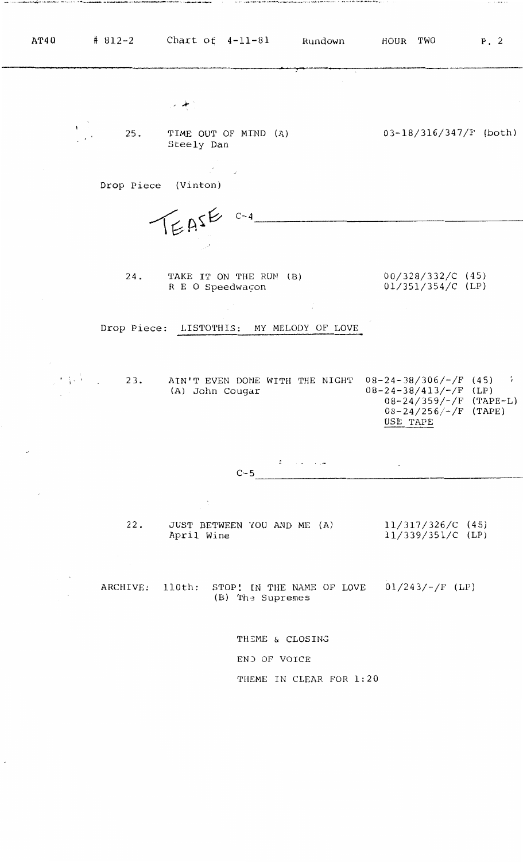| AT40                                              | $# 812-2$ Chart of $4-11-81$ Rundown                                                        | HOUR TWO<br>P.2                                                                                                                                  |
|---------------------------------------------------|---------------------------------------------------------------------------------------------|--------------------------------------------------------------------------------------------------------------------------------------------------|
|                                                   | $\rightarrow$ $+$ .                                                                         |                                                                                                                                                  |
| $\mathbf{v}$<br>25.                               | TIME OUT OF MIND (A)<br>Steely Dan                                                          | $03-18/316/347/F$ (both)                                                                                                                         |
| Drop Piece (Vinton)                               | $\mathcal{L}^{\mathcal{L}}_{\mathcal{L}}$ , where $\mathcal{L}^{\mathcal{L}}_{\mathcal{L}}$ |                                                                                                                                                  |
|                                                   | $T_{E}A5^{E}$ $C-4$                                                                         |                                                                                                                                                  |
| 24.                                               | TAKE IT ON THE RUN (B)                                                                      | $00/328/332/C$ (45)                                                                                                                              |
|                                                   | R E O Speedwacon                                                                            | $01/351/354/C$ (LP)<br><b>Contractor</b>                                                                                                         |
|                                                   | Drop Piece: LISTOTHIS: MY MELODY OF LOVE                                                    |                                                                                                                                                  |
| and the control of<br>$\cdot$ $\cdot$ $\cdot$ 23. | AIN'T EVEN DONE WITH THE NIGHT<br>(A) John Cougar                                           | $08-24-38/306/-/F$ (45) $\frac{1}{2}$<br>$08 - 24 - 38/413/ - /F$ (LP)<br>$08 - 24 / 359 / - / F$ (TAPE-L)<br>$08-24/256/-/F$ (TAPE)<br>USE TAPE |
| $\cdot$                                           | سروا والمتاريخ<br>$C - 5$                                                                   | $\sim$                                                                                                                                           |
| $\cdot$                                           | $\sqrt{2}$                                                                                  |                                                                                                                                                  |
| 22.                                               | JUST BETWEEN YOU AND ME (A)<br>April Wine                                                   | $11/317/326/C$ (45)<br>$11/339/351/C$ (LP)                                                                                                       |
| ARCHIVE: 110th:                                   | STOP! IN THE NAME OF LOVE $01/243/-/F$ (LP)<br>(B) The Supremes                             |                                                                                                                                                  |
|                                                   | THEME & CLOSING                                                                             |                                                                                                                                                  |
|                                                   | END OF VOICE                                                                                |                                                                                                                                                  |
|                                                   | THEME IN CLEAR FOR 1:20                                                                     |                                                                                                                                                  |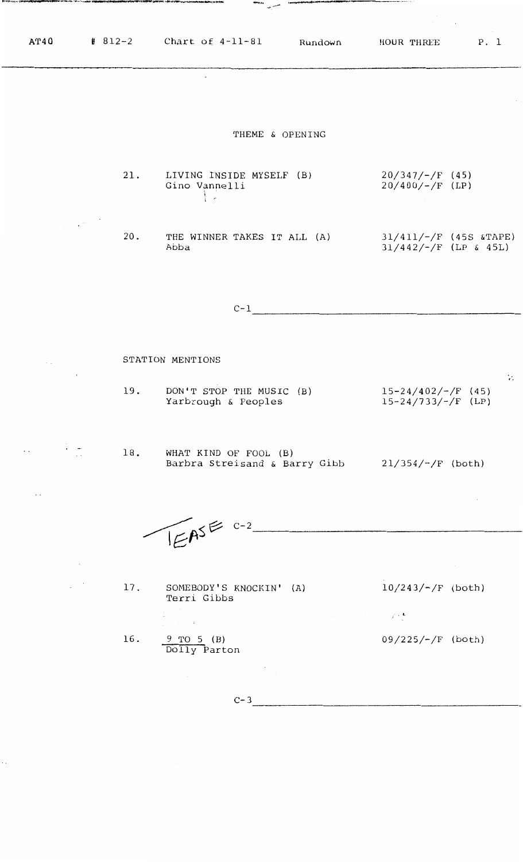$\frac{1}{\sqrt{2}}$ 

 $\mathbf{r}$ 

 $\sim$ 

## THEME & OPENING

diamatic contract of

- 21. 20/347/-/F (45) LIVING INSIDE MYSELF (B) Gino Vannelli  $20/400/-/F$  (LP)  $\frac{1}{2}$
- 20. THE WINNER TAKES IT ALL (A) Abba 31/411/-/F (45S &TAPE)  $31/442/-/F$  (LP & 45L)

 $C-1$ 

## STATION MENTIONS

19. DON'T STOP THE MUSIC (B) Yarbrough & Peoples 15-24/402/-/F (45) 15-24/733/-/F (LP)

18. WHAT KIND OF FOOL (B) Barbra Streisand & Barry Gibb 21/354/-/F (both)

 $\mathbb{E} \mathbb{A}^{s \in C-2}$ 

17. SOMEBODY'S KNOCKIN' (A) Terri Gibbs

 $10/243/-/F$  (both)

 $\mathcal{L} \in \mathbb{R}^{n \times n}$ 

09/225/-/F (both)

16. 9 TO 5 (B) Dolly Parton

 $C-3$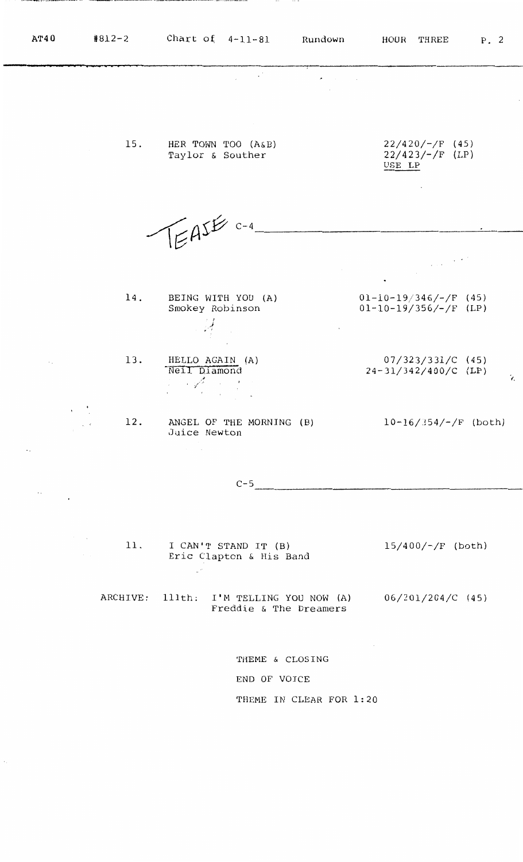**AT40 #812-2** Chart of 4-11-81 Rundown HOUR THREE P. 2  $\sim 10^6$  $\overline{a}$  $22/420/-/F$  (45) 15. HER TOWN TOO (A&B) 22/423/-/F (LP) Taylor & Souther USE LP FASE C-4  $\label{eq:1} \frac{1}{\sqrt{2\pi\epsilon}}\int_{\mathbb{R}^3}\frac{1}{\sqrt{2\pi\epsilon}}\left|\frac{d\epsilon}{d\epsilon}\right|^2\frac{d\epsilon}{d\epsilon}.$ 14. BEING WITH YOU (A)  $01-10-19/346/-/F$  (45) 01-10-19/356/-/F (LP) Smokey Robinson I *)*  ,·' 13. HELLO AGAIN (A) 07/323/331/C (45) -Neil Diamond  $24-31/342/400/C$  (LP) ., ,, ;  $\mathcal{L}$  $\ddot{\phantom{0}}$ 12. ANGEL OF THE MORNING (B)  $10-16/354/-/F$  (both)  $\zeta$  .  $\zeta$ Juice Newton ----------------------  $C-5$  $\ddot{\phantom{a}}$  . 15/400/-/F (both) 11. I CAN'T STAND IT (B) Eric Clapton & His Band

ARCHIVE: 111th: I'M TELLING YOU NOW (A) Freddie & The Dreamers 06/201/204/C (45)

> THEME & CLOSING END OF VOICE THEME IN CLEAR FOR 1:20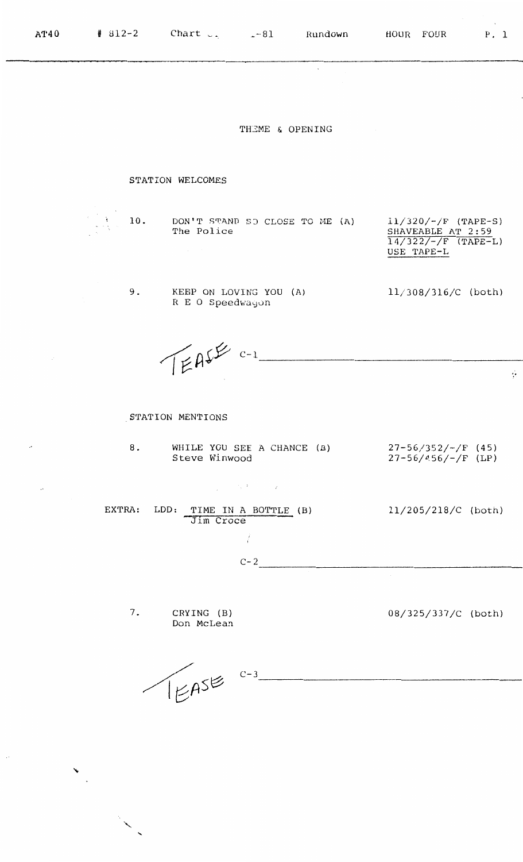**AT40 #** 812-2 **Chart example 1** Rundown HOUR FOUR P. 1  $\overline{\phantom{a}}$ THEME & OPENING STATION WELCOMES

 $\frac{1}{\sqrt{1-\frac{1}{2}}}$  10.

9.

DON'T STAND SO CLOSE TO ME (A) The Police

11/320/-/F (TAPE-S) SHAVEABLE AT 2:59 14/322/-/F (TAPE-L) USE TAPE-L

11/308/316/C (both)

RE O Speedwayun

KEEP ON LOVING YOU (A)

TEASE C-1

. STATION MENTIONS

| WHILE YOU SEE A CHANCE (B) | $27 - 56/352/ - /F$ |
|----------------------------|---------------------|
| Steve Winwood              | $27 - 56/456/-/F$   |

 $\label{eq:2.1} \frac{1}{2} \int_{\mathbb{R}^3} \left| \frac{d\mathbf{y}}{d\mathbf{x}} \right|^2 \, d\mathbf{x} \, d\mathbf{x} \, d\mathbf{x} \, d\mathbf{x} \, d\mathbf{x} \, d\mathbf{x} \, d\mathbf{x} \, d\mathbf{x} \, d\mathbf{x} \, d\mathbf{x} \, d\mathbf{x} \, d\mathbf{x} \, d\mathbf{x} \, d\mathbf{x} \, d\mathbf{x} \, d\mathbf{x} \, d\mathbf{x} \, d\mathbf{x} \, d\mathbf{x} \, d\mathbf{x} \, d\mathbf{x}$  $\sim$   $\sim$ 11/205/218/C (both) EXTRA: LDD: TIME IN A BOTTLE {B) Jim Croce

 $(45)$  $($ LP $)$   $\ddot{\phi}$ 

 $C-2$ ----------------------

 $\frac{1}{2}$ 

7. CRYING (B) Don McLean

↘  $\epsilon$  08/325/337/C (both)

----------------------

 $T_{E}ASE$ <sup>c-3</sup>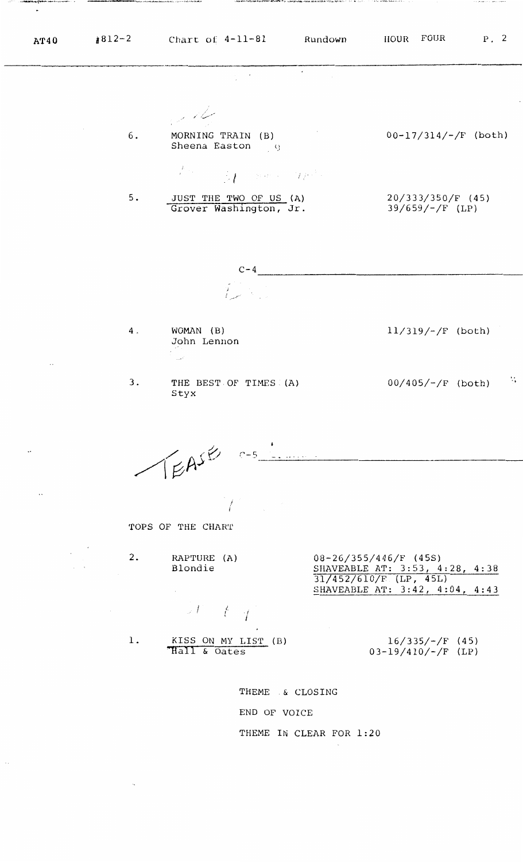$\blacksquare$ 

5.

4,

 $\overline{a}$ 

سیکا تو ایرا  $\sim$ 6. MORNING TRAIN (B)  $00-17/314/-/F$  (both) Sheena Easton 9  $\frac{1}{t} \mathcal{L}_{\text{max}}$  $M$  , where  $M^{\mu\nu}$ 

÷.

JUST THE TWO OF US (A) Grover Washington, Jr.

20/333/350/F (45) 39/659/-/F (LP)

----------------------  $C-4$  $\int_{\mathbb{R}^d} \mathbb{R}^{d-1} \mathbb{R}^{d-1}$ 

WOMAN (B) John Lennon

 $\mathbb{R}$ 

3. THE BEST OF TIMES (A) Styx

 $00/405/-/F$  (both) ·,

11/319/-/F (both)

 $\sqrt{E}A^{S}$ <sup> $\approx$ </sup>  $C - 5$ 

*I*  I

TOPS OF THE CHART

2. RAP'rURE (A) 08-26/355/446/F ( **4** 5S) Blondie SHAVEABLE AT: 3:53, 4:28, 4:38

I *<sup>l</sup>* ' <sup>I</sup> ' j

1.

31/452/610/F (LP, 45L) SHAVEABLE AT: 3:42, 4:04, 4:43

KISS ON MY LIST (B) 16/335/-/F (45)<br>
Hall & Oates 03-19/410/-/F (LP)

03-19/410/-/F (LP)

THEME .& CLOSING END OF VOICE THEME IN CLEAR FOR 1:20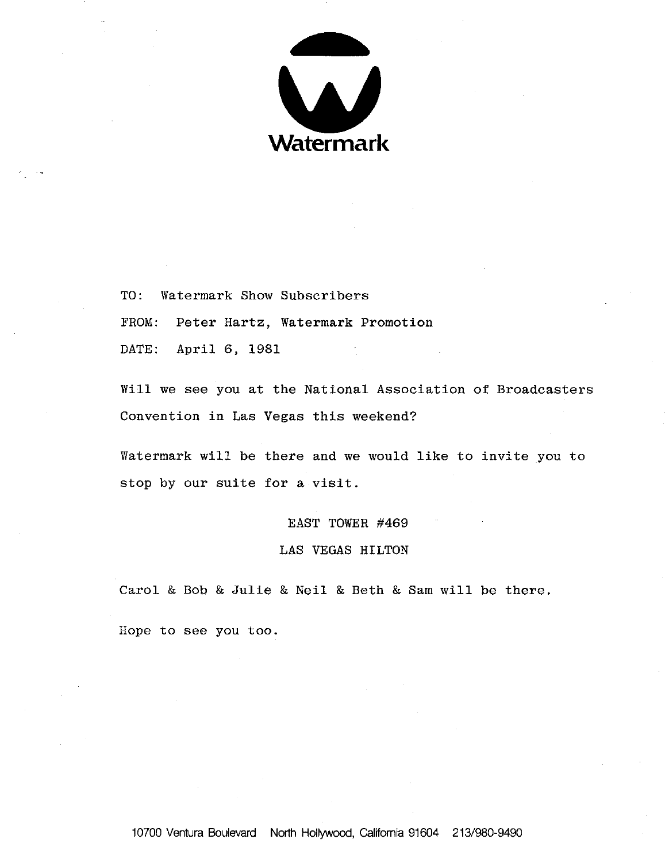

TO: Watermark Show Subscribers FROM: Peter Hartz, Watermark Promotion DATE: April 6, 1981

Will we see you at the National Association of Broadcasters Convention in Las Vegas this weekend?

Watermark will be there and we would like to invite you to stop by our suite for a visit.

## EAST TOWER #469

## LAS VEGAS HILTON

Carol & Bob & Julie & Neil & Beth & Sam will be there.

Hope to see you too.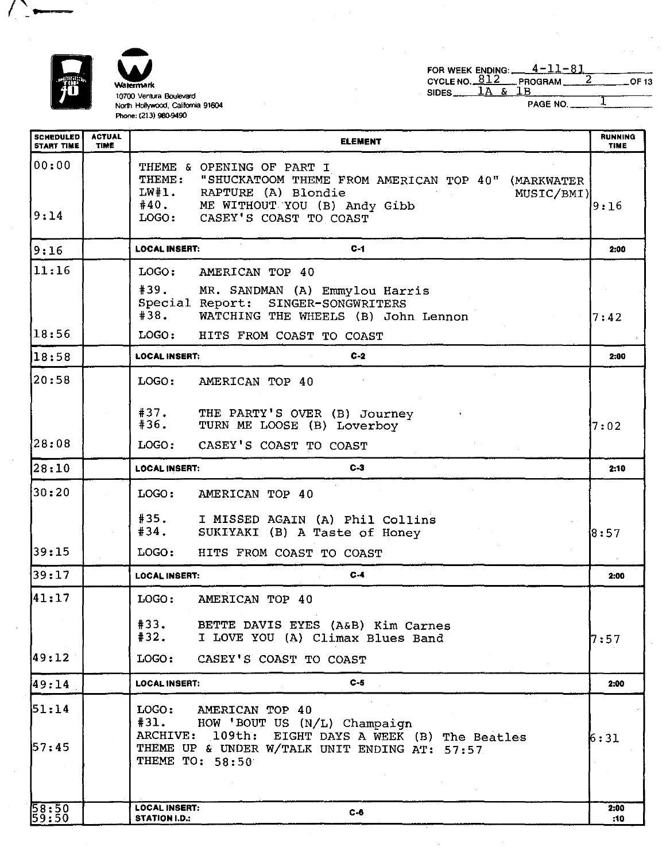

 $\left(\begin{array}{c} \bullet \end{array}\right)$ 

 $\bar{z}$ 

 $\bar{z}$ 

~ **10700 Ventura Boulevard North Hollywocd, Galilomia 91604 Phone: (213) 980-9490** 

 $\bullet$ 

|                   |  | FOR WEEK ENDING: $4-11-81$ |              |
|-------------------|--|----------------------------|--------------|
|                   |  | CYCLE NO. $812$ PROGRAM 2  | <b>OF 13</b> |
| $SIDES$ $1A & 1B$ |  |                            |              |
|                   |  |                            |              |

 $\sim$ 

 $PAGE NO.$   $1$ 

| <b>SCHEDULED</b><br><b>START TIME</b> | <b>ACTUAL</b><br>TIME | <b>ELEMENT</b>                                                                                                                                                                                         | <b>RUNNING</b><br><b>TIME</b> |  |  |  |  |
|---------------------------------------|-----------------------|--------------------------------------------------------------------------------------------------------------------------------------------------------------------------------------------------------|-------------------------------|--|--|--|--|
| 00:00<br>9:14                         |                       | THEME & OPENING OF PART I<br>THEME: "SHUCKATOOM THEME FROM AMERICAN TOP 40" (MARKWATER<br>LW#1. RAPTURE (A) Blondie<br>MUSIC/BMI)<br>#40. ME WITHOUT YOU (B) Andy Gibb<br>LOGO: CASEY'S COAST TO COAST | 9:16                          |  |  |  |  |
| 9:16                                  |                       | <b>LOCAL INSERT:</b><br>$C-1$                                                                                                                                                                          | 2:00                          |  |  |  |  |
| 11:16                                 |                       | LOGO:<br>AMERICAN TOP 40                                                                                                                                                                               |                               |  |  |  |  |
|                                       |                       | #39.<br>MR. SANDMAN (A) Emmylou Harris<br>Special Report: SINGER-SONGWRITERS<br>#38.<br>WATCHING THE WHEELS (B) John Lennon                                                                            | 17:42                         |  |  |  |  |
| 18:56                                 |                       | LOGO:<br>HITS FROM COAST TO COAST                                                                                                                                                                      |                               |  |  |  |  |
| 18:58                                 |                       | $C-2$<br><b>LOCAL INSERT:</b>                                                                                                                                                                          | 2:00                          |  |  |  |  |
| 20:58                                 |                       | LOGO:<br>AMERICAN TOP 40                                                                                                                                                                               |                               |  |  |  |  |
|                                       |                       | #37.<br>THE PARTY'S OVER (B) Journey<br>#36.<br>TURN ME LOOSE (B) Loverboy                                                                                                                             | 7:02                          |  |  |  |  |
| 28:08                                 |                       | LOGO:<br>CASEY'S COAST TO COAST                                                                                                                                                                        |                               |  |  |  |  |
| 28:10                                 |                       | $C-3$<br><b>LOCAL INSERT:</b>                                                                                                                                                                          |                               |  |  |  |  |
| 30:20                                 |                       | LOGO:<br>AMERICAN TOP 40                                                                                                                                                                               |                               |  |  |  |  |
|                                       |                       | #35.<br>I MISSED AGAIN (A) Phil Collins<br>#34.<br>SUKIYAKI (B) A Taste of Honey                                                                                                                       | 18:57                         |  |  |  |  |
| 39:15                                 |                       | LOGO:<br>HITS FROM COAST TO COAST                                                                                                                                                                      |                               |  |  |  |  |
| 39:17                                 |                       | $C-4$<br><b>LOCAL INSERT:</b>                                                                                                                                                                          | 2:00                          |  |  |  |  |
| 41:17                                 |                       | LOGO:<br>AMERICAN TOP 40                                                                                                                                                                               |                               |  |  |  |  |
|                                       |                       | #33.<br>BETTE DAVIS EYES (A&B) Kim Carnes<br>#32.<br>I LOVE YOU (A) Climax Blues Band                                                                                                                  | 7:57                          |  |  |  |  |
| 49:12                                 |                       | LOGO:<br>CASEY'S COAST TO COAST                                                                                                                                                                        |                               |  |  |  |  |
| 49:14                                 |                       | $C-5$<br><b>LOCAL INSERT:</b>                                                                                                                                                                          | 2:00                          |  |  |  |  |
| 51:14<br>157:45                       |                       | LOGO:<br>AMERICAN TOP 40<br>#31.<br>HOW 'BOUT US (N/L) Champaign<br>ARCHIVE: 109th: EIGHT DAYS A WEEK (B) The Beatles<br>THEME UP & UNDER W/TALK UNIT ENDING AT: 57:57<br>THEME TO: 58:50              | 6:31                          |  |  |  |  |
|                                       |                       |                                                                                                                                                                                                        |                               |  |  |  |  |
| $\frac{58:50}{59:50}$                 |                       | <b>LOCAL INSERT:</b><br>$C-6$<br>STATION I.D.:                                                                                                                                                         | 2:00<br>:10                   |  |  |  |  |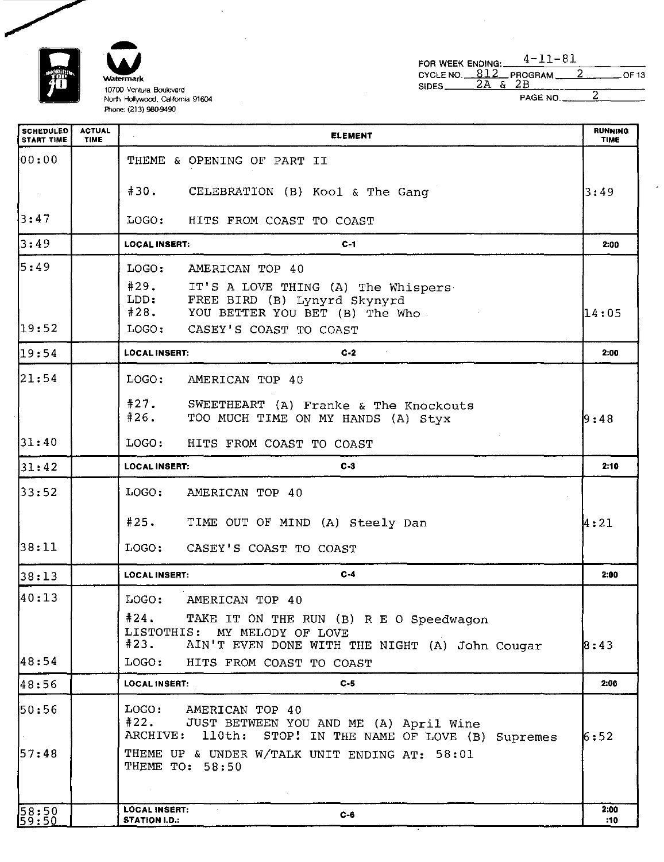FOR WEEK ENDING:  $4-11-81$ 

 $\mathbf{r}$ 



 $\bar{\mathbf{v}}$ 

| CYCLE NO. $812$ PROGRAM $2$<br>SIDES <sub>__</sub> | 2Α | PAGE NO |  | $\_$ OF 13               |
|----------------------------------------------------|----|---------|--|--------------------------|
|                                                    |    |         |  | <b>RUNNING</b><br>Titata |

 $\mathcal{L}$ 

 $\sim$ 

| <b>SCHEDULED</b><br><b>START TIME</b> | <b>ACTUAL</b><br>TIME | <b>ELEMENT</b>                                                                                                                         | <b>RUNNING</b><br><b>TIME</b> |
|---------------------------------------|-----------------------|----------------------------------------------------------------------------------------------------------------------------------------|-------------------------------|
| 00:00                                 |                       | THEME & OPENING OF PART II                                                                                                             |                               |
|                                       |                       | #30. CELEBRATION (B) Kool & The Gang                                                                                                   | 3:49                          |
| 3:47                                  |                       | LOGO: HITS FROM COAST TO COAST                                                                                                         |                               |
| 3:49                                  |                       | $C-1$<br><b>LOCAL INSERT:</b>                                                                                                          | 2:00                          |
| 5:49                                  |                       | LOGO:<br>AMERICAN TOP 40                                                                                                               |                               |
|                                       |                       | #29.<br>IT'S A LOVE THING (A) The Whispers<br>LDD:<br>FREE BIRD (B) Lynyrd Skynyrd<br>#28.<br>YOU BETTER YOU BET (B) The Who           | 14:05                         |
| 19:52                                 |                       | LOGO: CASEY'S COAST TO COAST                                                                                                           |                               |
| 19:54                                 |                       | $C-2$<br><b>LOCAL INSERT:</b>                                                                                                          | 2:00                          |
| 21:54                                 |                       | LOGO:<br>AMERICAN TOP 40                                                                                                               |                               |
|                                       |                       | #27.<br>SWEETHEART (A) Franke & The Knockouts<br>#26.<br>TOO MUCH TIME ON MY HANDS (A) Styx                                            | 9:48                          |
| 31:40                                 |                       | LOGO:<br>HITS FROM COAST TO COAST                                                                                                      |                               |
| 31:42                                 |                       | $C-3$<br><b>LOCAL INSERT:</b>                                                                                                          | 2:10                          |
| 33:52                                 |                       | LOGO:<br>AMERICAN TOP 40                                                                                                               |                               |
|                                       |                       | #25. TIME OUT OF MIND (A) Steely Dan                                                                                                   | 4:21                          |
| 38:11                                 |                       | LOGO:<br>CASEY'S COAST TO COAST                                                                                                        |                               |
| 38:13                                 |                       | $C-4$<br><b>LOCAL INSERT:</b>                                                                                                          | 2:00                          |
| 40:13                                 |                       | LOGO:<br>AMERICAN TOP 40                                                                                                               |                               |
|                                       |                       | #24. TAKE IT ON THE RUN (B) R E O Speedwagon<br>LISTOTHIS: MY MELODY OF LOVE<br>#23.<br>AIN'T EVEN DONE WITH THE NIGHT (A) John Cougar | 8:43                          |
| 48:54                                 |                       | LOGO:<br>HITS FROM COAST TO COAST                                                                                                      |                               |
| 48:56                                 |                       | $C-5$<br><b>LOCAL INSERT:</b>                                                                                                          | 2:00                          |
| 50:56                                 |                       | LOGO: AMERICAN TOP 40<br>#22.<br>JUST BETWEEN YOU AND ME (A) April Wine<br>ARCHIVE:<br>110th: STOP! IN THE NAME OF LOVE (B) Supremes   | 6:52                          |
| 57:48                                 |                       | THEME UP & UNDER W/TALK UNIT ENDING AT: 58:01<br>THEME TO: 58:50                                                                       |                               |
|                                       |                       | <b>LOCAL INSERT:</b>                                                                                                                   | 2:00                          |
| $\frac{58:50}{59:50}$                 |                       | $C - 6$<br><b>STATION I.D.:</b>                                                                                                        | :10                           |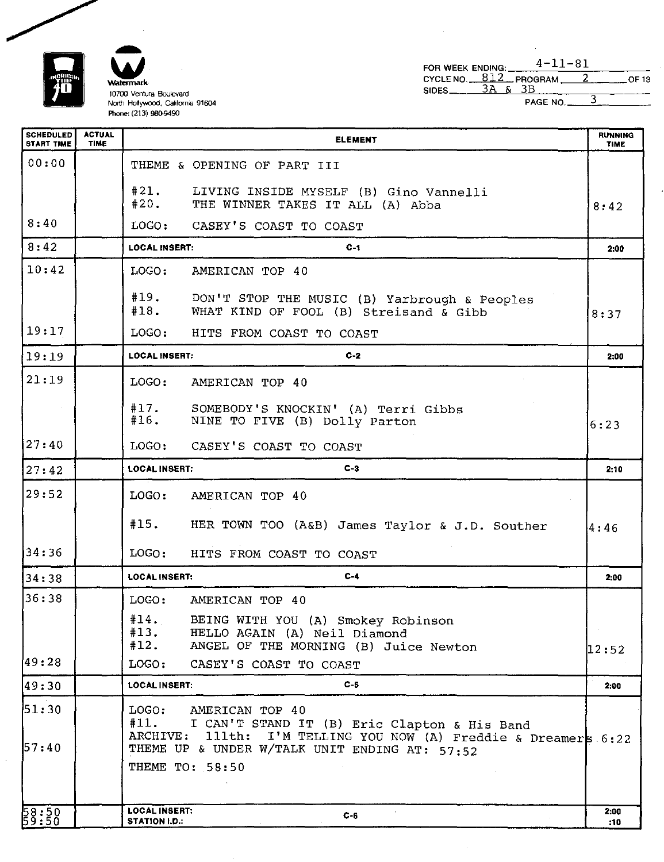

**'**

| FOR WEEK ENDING:      |  | $4 - 11 - 81$              |  |       |
|-----------------------|--|----------------------------|--|-------|
| $SIDES$ $3A & S$ $3B$ |  | CYCLENO. $812$ PROGRAM $2$ |  | OF 13 |
|                       |  | PAGE NO.                   |  |       |

l,

| <b>SCHEDULED</b><br><b>START TIME</b> | <b>ACTUAL</b><br><b>TIME</b> | <b>ELEMENT</b>                                                                                                                                         | <b>RUNNING</b><br><b>TIME</b> |
|---------------------------------------|------------------------------|--------------------------------------------------------------------------------------------------------------------------------------------------------|-------------------------------|
| 00:00                                 |                              | THEME & OPENING OF PART III                                                                                                                            |                               |
|                                       |                              | #21.<br>LIVING INSIDE MYSELF (B) Gino Vannelli<br>#20.<br>THE WINNER TAKES IT ALL (A) Abba                                                             | 8:42                          |
| 8:40                                  |                              | LOGO:<br>CASEY'S COAST TO COAST                                                                                                                        |                               |
| 8:42                                  |                              | <b>LOCAL INSERT:</b><br>$C-1$                                                                                                                          | 2:00                          |
| 10:42                                 |                              | LOGO:<br>AMERICAN TOP 40                                                                                                                               |                               |
|                                       |                              | #19. DON'T STOP THE MUSIC (B) Yarbrough & Peoples<br>#18.<br>WHAT KIND OF FOOL (B) Streisand & Gibb                                                    | 8:37                          |
| 19:17                                 |                              | LOGO:<br>HITS FROM COAST TO COAST                                                                                                                      |                               |
| 19:19                                 |                              | <b>LOCAL INSERT:</b><br>$C-2$                                                                                                                          | 2:00                          |
| 21:19                                 |                              | LOGO:<br>AMERICAN TOP 40                                                                                                                               |                               |
|                                       |                              | #17.<br>SOMEBODY'S KNOCKIN' (A) Terri Gibbs<br>#16.<br>NINE TO FIVE (B) Dolly Parton                                                                   | 6:23                          |
| 27:40                                 |                              | LOGO:<br>CASEY'S COAST TO COAST                                                                                                                        |                               |
| 127:42                                |                              | $C-3$<br><b>LOCAL INSERT:</b>                                                                                                                          | 2:10                          |
| 29:52                                 |                              | LOGO:<br>AMERICAN TOP 40                                                                                                                               |                               |
|                                       |                              | #15.<br>HER TOWN TOO (A&B) James Taylor & J.D. Souther                                                                                                 | 4:46                          |
| 34:36                                 |                              | LOGO:<br>HITS FROM COAST TO COAST                                                                                                                      |                               |
| 34:38                                 |                              | $C-4$<br><b>LOCAL INSERT:</b>                                                                                                                          | 2:00                          |
| 36:38                                 |                              | LOGO:<br>AMERICAN TOP 40                                                                                                                               |                               |
|                                       |                              | #14.<br>BEING WITH YOU (A) Smokey Robinson<br>#13.<br>HELLO AGAIN (A) Neil Diamond<br>#12.<br>ANGEL OF THE MORNING (B) Juice Newton                    | 12:52                         |
| 49:28                                 |                              | LOGO:<br>CASEY'S COAST TO COAST                                                                                                                        |                               |
| 49:30                                 |                              | <b>LOCAL INSERT:</b><br>$C - 5$                                                                                                                        | 2:00                          |
| 51:30                                 |                              | LOGO:<br>AMERICAN TOP 40<br>#11.<br>I CAN'T STAND IT (B) Eric Clapton & His Band<br>111th: I'M TELLING YOU NOW (A) Freddie & Dreamers 6:22<br>ARCHIVE: |                               |
| 57:40                                 |                              | THEME UP & UNDER W/TALK UNIT ENDING AT: 57:52<br>THEME TO: 58:50                                                                                       |                               |
| 58:50<br>59:50                        |                              | <b>LOCAL INSERT:</b><br>$C - 6$<br>STATION I.D.:                                                                                                       | 2:00<br>:10                   |